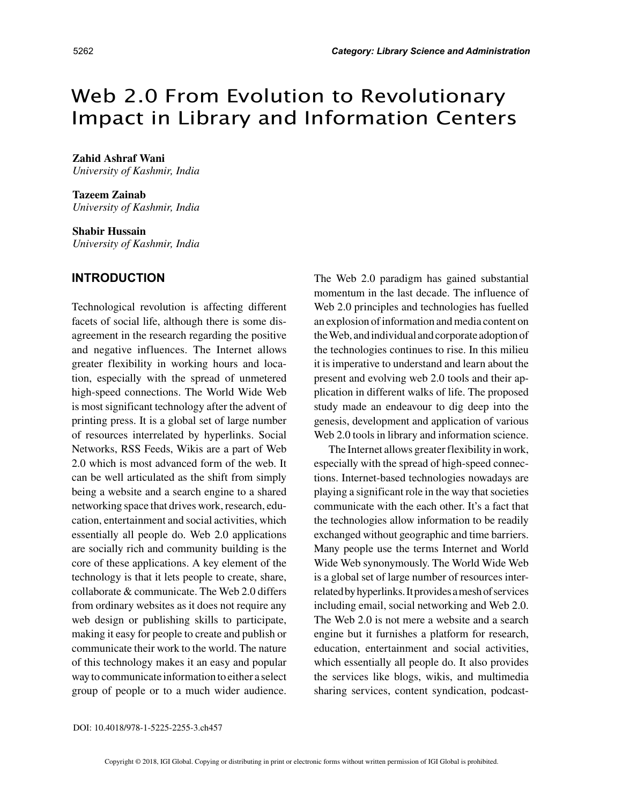# Web 2.0 From Evolution to Revolutionary Impact in Library and Information Centers

**Zahid Ashraf Wani** *University of Kashmir, India*

**Tazeem Zainab** *University of Kashmir, India*

**Shabir Hussain** *University of Kashmir, India*

### **INTRODUCTION**

Technological revolution is affecting different facets of social life, although there is some disagreement in the research regarding the positive and negative influences. The Internet allows greater flexibility in working hours and location, especially with the spread of unmetered high-speed connections. The World Wide Web is most significant technology after the advent of printing press. It is a global set of large number of resources interrelated by hyperlinks. Social Networks, RSS Feeds, Wikis are a part of Web 2.0 which is most advanced form of the web. It can be well articulated as the shift from simply being a website and a search engine to a shared networking space that drives work, research, education, entertainment and social activities, which essentially all people do. Web 2.0 applications are socially rich and community building is the core of these applications. A key element of the technology is that it lets people to create, share, collaborate & communicate. The Web 2.0 differs from ordinary websites as it does not require any web design or publishing skills to participate, making it easy for people to create and publish or communicate their work to the world. The nature of this technology makes it an easy and popular way to communicate information to either a select group of people or to a much wider audience.

The Web 2.0 paradigm has gained substantial momentum in the last decade. The influence of Web 2.0 principles and technologies has fuelled an explosion of information and media content on the Web, and individual and corporate adoption of the technologies continues to rise. In this milieu it is imperative to understand and learn about the present and evolving web 2.0 tools and their application in different walks of life. The proposed study made an endeavour to dig deep into the genesis, development and application of various Web 2.0 tools in library and information science.

The Internet allows greater flexibility in work, especially with the spread of high-speed connections. Internet-based technologies nowadays are playing a significant role in the way that societies communicate with the each other. It's a fact that the technologies allow information to be readily exchanged without geographic and time barriers. Many people use the terms Internet and World Wide Web synonymously. The World Wide Web is a global set of large number of resources interrelated by hyperlinks. It provides a mesh of services including email, social networking and Web 2.0. The Web 2.0 is not mere a website and a search engine but it furnishes a platform for research, education, entertainment and social activities, which essentially all people do. It also provides the services like blogs, wikis, and multimedia sharing services, content syndication, podcast-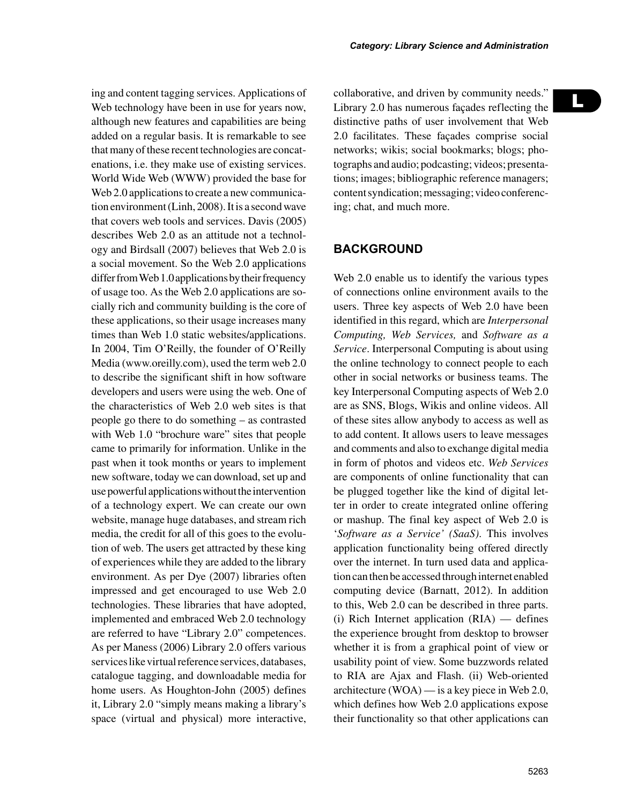L

Web technology have been in use for years now, although new features and capabilities are being added on a regular basis. It is remarkable to see that many of these recent technologies are concatenations, i.e. they make use of existing services. World Wide Web (WWW) provided the base for Web 2.0 applications to create a new communication environment (Linh, 2008). It is a second wave that covers web tools and services. Davis (2005) describes Web 2.0 as an attitude not a technology and Birdsall (2007) believes that Web 2.0 is a social movement. So the Web 2.0 applications differ from Web 1.0 applications by their frequency of usage too. As the Web 2.0 applications are socially rich and community building is the core of these applications, so their usage increases many times than Web 1.0 static websites/applications. In 2004, Tim O'Reilly, the founder of O'Reilly Media (www.oreilly.com), used the term web 2.0 to describe the significant shift in how software developers and users were using the web. One of the characteristics of Web 2.0 web sites is that people go there to do something – as contrasted with Web 1.0 "brochure ware" sites that people came to primarily for information. Unlike in the past when it took months or years to implement new software, today we can download, set up and use powerful applications without the intervention of a technology expert. We can create our own website, manage huge databases, and stream rich media, the credit for all of this goes to the evolution of web. The users get attracted by these king of experiences while they are added to the library environment. As per Dye (2007) libraries often impressed and get encouraged to use Web 2.0 technologies. These libraries that have adopted, implemented and embraced Web 2.0 technology are referred to have "Library 2.0" competences. As per Maness (2006) Library 2.0 offers various services like virtual reference services, databases, catalogue tagging, and downloadable media for home users. As Houghton-John (2005) defines it, Library 2.0 "simply means making a library's space (virtual and physical) more interactive,

ing and content tagging services. Applications of

collaborative, and driven by community needs." Library 2.0 has numerous façades reflecting the distinctive paths of user involvement that Web 2.0 facilitates. These façades comprise social networks; wikis; social bookmarks; blogs; photographs and audio; podcasting; videos; presentations; images; bibliographic reference managers; content syndication; messaging; video conferencing; chat, and much more.

# **BACKGROUND**

Web 2.0 enable us to identify the various types of connections online environment avails to the users. Three key aspects of Web 2.0 have been identified in this regard, which are *Interpersonal Computing, Web Services,* and *Software as a Service*. Interpersonal Computing is about using the online technology to connect people to each other in social networks or business teams. The key Interpersonal Computing aspects of Web 2.0 are as SNS, Blogs, Wikis and online videos. All of these sites allow anybody to access as well as to add content. It allows users to leave messages and comments and also to exchange digital media in form of photos and videos etc. *Web Services* are components of online functionality that can be plugged together like the kind of digital letter in order to create integrated online offering or mashup. The final key aspect of Web 2.0 is '*Software as a Service' (SaaS)*. This involves application functionality being offered directly over the internet. In turn used data and application can then be accessed through internet enabled computing device (Barnatt, 2012). In addition to this, Web 2.0 can be described in three parts. (i) Rich Internet application (RIA) — defines the experience brought from desktop to browser whether it is from a graphical point of view or usability point of view. Some buzzwords related to RIA are Ajax and Flash. (ii) Web-oriented architecture (WOA) — is a key piece in Web 2.0, which defines how Web 2.0 applications expose their functionality so that other applications can